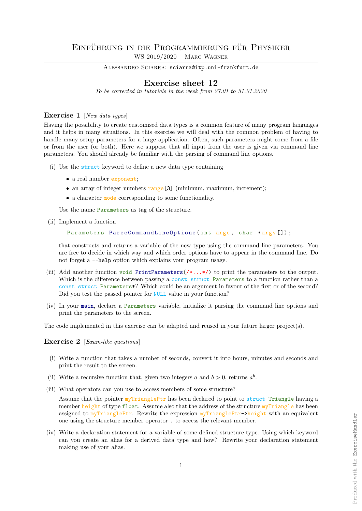ALESSANDRO SCIARRA: sciarra@itp.uni-frankfurt.de

## Exercise sheet 12

To be corrected in tutorials in the week from 27.01 to 31.01.2020

## Exercise 1 [New data types]

Having the possibility to create customised data types is a common feature of many program languages and it helps in many situations. In this exercise we will deal with the common problem of having to handle many setup parameters for a large application. Often, such parameters might come from a file or from the user (or both). Here we suppose that all input from the user is given via command line parameters. You should already be familiar with the parsing of command line options.

- (i) Use the struct keyword to define a new data type containing
	- a real number exponent:
	- an array of integer numbers range [3] (minimum, maximum, increment);
	- a character mode corresponding to some functionality.

Use the name Parameters as tag of the structure.

(ii) Implement a function

```
Parameters ParseCommandLineOptions (int argc, char *argv []);
```
that constructs and returns a variable of the new type using the command line parameters. You are free to decide in which way and which order options have to appear in the command line. Do not forget a --help option which explains your program usage.

- (iii) Add another function void PrintParameters( $/*$ ...\*/) to print the parameters to the output. Which is the difference between passing a const struct Parameters to a function rather than a const struct Parameters\*? Which could be an argument in favour of the first or of the second? Did you test the passed pointer for NULL value in your function?
- (iv) In your main, declare a Parameters variable, initialize it parsing the command line options and print the parameters to the screen.

The code implemented in this exercise can be adapted and reused in your future larger project(s).

Exercise 2 [Exam-like questions]

- (i) Write a function that takes a number of seconds, convert it into hours, minutes and seconds and print the result to the screen.
- (ii) Write a recursive function that, given two integers a and  $b > 0$ , returns  $a<sup>b</sup>$ .
- (iii) What operators can you use to access members of some structure?

Assume that the pointer myTrianglePtr has been declared to point to struct Triangle having a member height of type float. Assume also that the address of the structure myTriangle has been assigned to  $\frac{myTriangle}{P}$ . Rewrite the expression  $\frac{myTriangle}{P}$ tr->height with an equivalent one using the structure member operator . to access the relevant member.

(iv) Write a declaration statement for a variable of some defined structure type. Using which keyword can you create an alias for a derived data type and how? Rewrite your declaration statement making use of your alias.